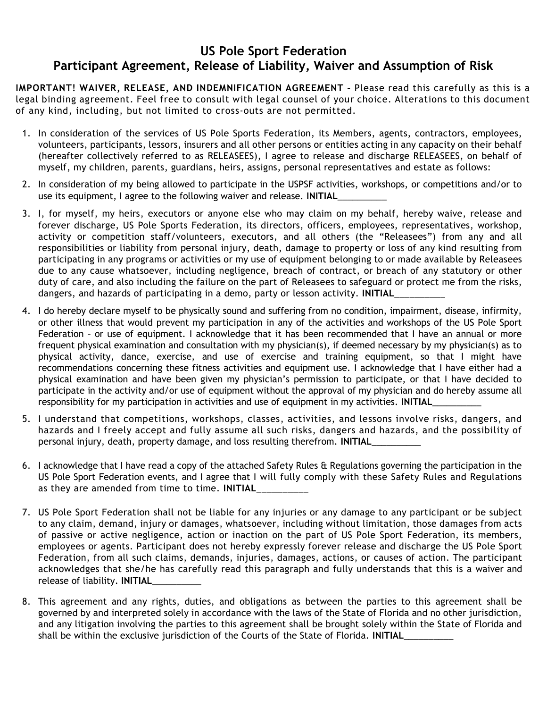## US Pole Sport Federation Participant Agreement, Release of Liability, Waiver and Assumption of Risk

IMPORTANT! WAIVER, RELEASE, AND INDEMNIFICATION AGREEMENT - Please read this carefully as this is a legal binding agreement. Feel free to consult with legal counsel of your choice. Alterations to this document of any kind, including, but not limited to cross-outs are not permitted.

- 1. In consideration of the services of US Pole Sports Federation, its Members, agents, contractors, employees, volunteers, participants, lessors, insurers and all other persons or entities acting in any capacity on their behalf (hereafter collectively referred to as RELEASEES), I agree to release and discharge RELEASEES, on behalf of myself, my children, parents, guardians, heirs, assigns, personal representatives and estate as follows:
- 2. In consideration of my being allowed to participate in the USPSF activities, workshops, or competitions and/or to use its equipment, I agree to the following waiver and release. INITIAL
- 3. I, for myself, my heirs, executors or anyone else who may claim on my behalf, hereby waive, release and forever discharge, US Pole Sports Federation, its directors, officers, employees, representatives, workshop, activity or competition staff/volunteers, executors, and all others (the "Releasees") from any and all responsibilities or liability from personal injury, death, damage to property or loss of any kind resulting from participating in any programs or activities or my use of equipment belonging to or made available by Releasees due to any cause whatsoever, including negligence, breach of contract, or breach of any statutory or other duty of care, and also including the failure on the part of Releasees to safeguard or protect me from the risks, dangers, and hazards of participating in a demo, party or lesson activity. INITIAL
- 4. I do hereby declare myself to be physically sound and suffering from no condition, impairment, disease, infirmity, or other illness that would prevent my participation in any of the activities and workshops of the US Pole Sport Federation – or use of equipment. I acknowledge that it has been recommended that I have an annual or more frequent physical examination and consultation with my physician(s), if deemed necessary by my physician(s) as to physical activity, dance, exercise, and use of exercise and training equipment, so that I might have recommendations concerning these fitness activities and equipment use. I acknowledge that I have either had a physical examination and have been given my physician's permission to participate, or that I have decided to participate in the activity and/or use of equipment without the approval of my physician and do hereby assume all responsibility for my participation in activities and use of equipment in my activities. INITIAL
- 5. I understand that competitions, workshops, classes, activities, and lessons involve risks, dangers, and hazards and I freely accept and fully assume all such risks, dangers and hazards, and the possibility of personal injury, death, property damage, and loss resulting therefrom. INITIAL\_
- 6. I acknowledge that I have read a copy of the attached Safety Rules & Regulations governing the participation in the US Pole Sport Federation events, and I agree that I will fully comply with these Safety Rules and Regulations as they are amended from time to time. INITIAL
- 7. US Pole Sport Federation shall not be liable for any injuries or any damage to any participant or be subject to any claim, demand, injury or damages, whatsoever, including without limitation, those damages from acts of passive or active negligence, action or inaction on the part of US Pole Sport Federation, its members, employees or agents. Participant does not hereby expressly forever release and discharge the US Pole Sport Federation, from all such claims, demands, injuries, damages, actions, or causes of action. The participant acknowledges that she/he has carefully read this paragraph and fully understands that this is a waiver and release of liability. INITIAL
- 8. This agreement and any rights, duties, and obligations as between the parties to this agreement shall be governed by and interpreted solely in accordance with the laws of the State of Florida and no other jurisdiction, and any litigation involving the parties to this agreement shall be brought solely within the State of Florida and shall be within the exclusive jurisdiction of the Courts of the State of Florida. INITIAL